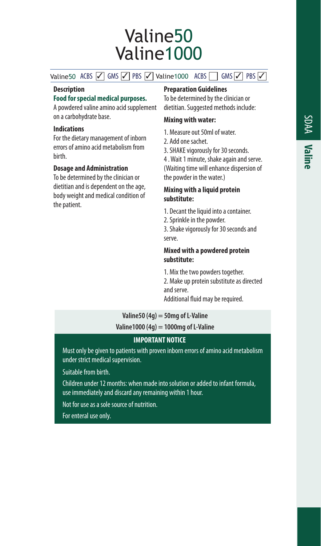# Valine50 Valine1000

Valine50 ACBS  $\sqrt{\ }$  GMS  $\sqrt{\ }$  PBS  $\sqrt{\ }$  Valine1000 ACBS GMS  $\sqrt{\ }$  PBS  $\sqrt{\ }$ 

#### **Description**

#### **Food for special medical purposes.**

A powdered valine amino acid supplement on a carbohydrate base.

## **Indications**

For the dietary management of inborn errors of amino acid metabolism from birth.

# **Dosage and Administration**

To be determined by the clinician or dietitian and is dependent on the age, body weight and medical condition of the patient.

# **Preparation Guidelines**

To be determined by the clinician or dietitian. Suggested methods include:

# **Mixing with water:**

- 1. Measure out 50ml of water.
- 2. Add one sachet.
- 3. SHAKE vigorously for 30 seconds.

4 . Wait 1 minute, shake again and serve. (Waiting time will enhance dispersion of the powder in the water.)

#### **Mixing with a liquid protein substitute:**

- 1. Decant the liquid into a container.
- 2. Sprinkle in the powder.

3. Shake vigorously for 30 seconds and serve.

#### **Mixed with a powdered protein substitute:**

1. Mix the two powders together.

2. Make up protein substitute as directed and serve.

Additional fluid may be required.

# **Valine50 (4g) = 50mg of L-Valine**

**Valine1000 (4g) = 1000mg of L-Valine**

## **IMPORTANT NOTICE**

Must only be given to patients with proven inborn errors of amino acid metabolism under strict medical supervision.

Suitable from birth.

Children under 12 months: when made into solution or added to infant formula, use immediately and discard any remaining within 1 hour.

Not for use as a sole source of nutrition.

For enteral use only.